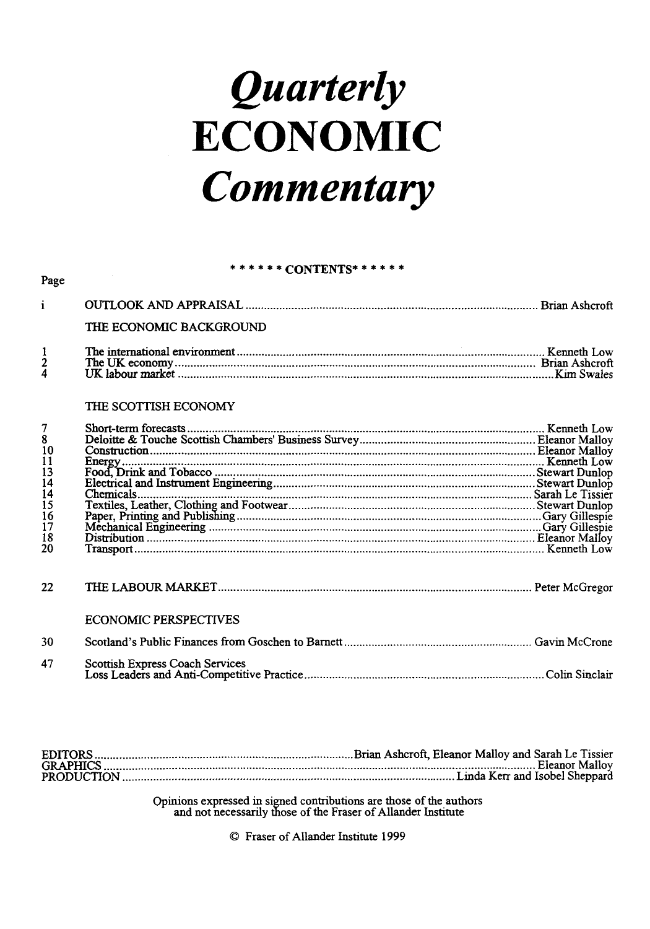# *Quarterly*  **ECONOMIC**  *Commentary*

### *\*\*\*\*\*\** CONTENTS\* \*\*\*\* \*

|               | THE ECONOMIC BACKGROUND. |  |
|---------------|--------------------------|--|
|               |                          |  |
| $\frac{2}{4}$ |                          |  |

### THE SCOTTISH ECONOMY

Page

| $\begin{array}{c} 7 \\ 8 \\ 10 \end{array}$           |                              |  |
|-------------------------------------------------------|------------------------------|--|
|                                                       |                              |  |
|                                                       |                              |  |
| $113$<br>$14$<br>$14$<br>$15$<br>$16$<br>$17$<br>$18$ |                              |  |
|                                                       |                              |  |
|                                                       |                              |  |
|                                                       |                              |  |
|                                                       |                              |  |
|                                                       |                              |  |
|                                                       |                              |  |
| 20                                                    |                              |  |
| 22.                                                   |                              |  |
|                                                       | <b>ECONOMIC PERSPECTIVES</b> |  |
| 30                                                    |                              |  |
|                                                       |                              |  |

| 47 | Scottish Express Coach Services |
|----|---------------------------------|
|    |                                 |
|    |                                 |

Opinions expressed in signed contributions are those of the authors and not necessarily those of the Fraser of Allander Institute

© Fraser of Allander Institute 1999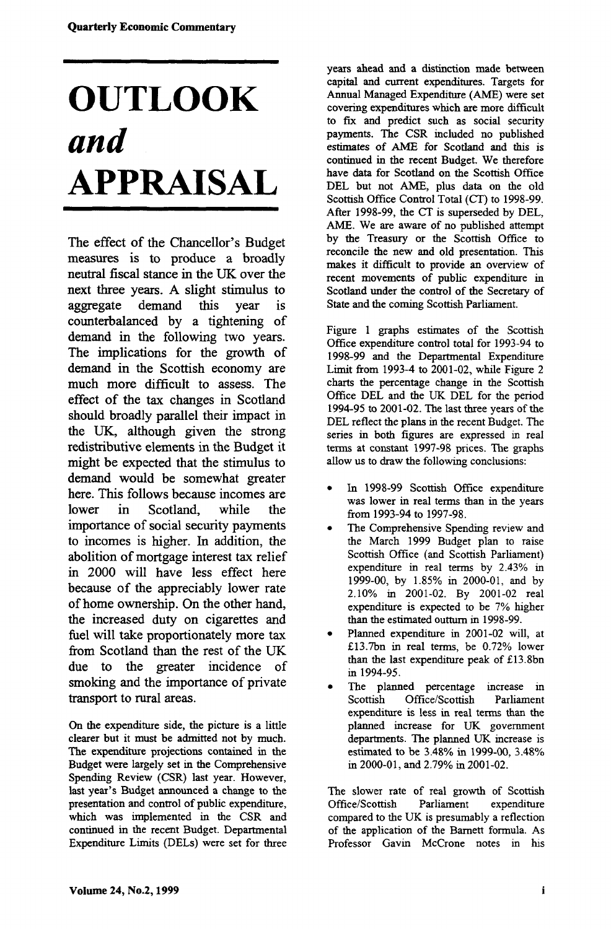## **OUTLOOK**  *and*  **APPRAISAL**

The effect of the Chancellor's Budget measures is to produce a broadly neutral fiscal stance in the UK over the next three years. A slight stimulus to aggregate demand this year is counterbalanced by a tightening of demand in the following two years. The implications for the growth of demand in the Scottish economy are much more difficult to assess. The effect of the tax changes in Scotland should broadly parallel their impact in the UK, although given the strong redistributive elements in the Budget it might be expected that the stimulus to demand would be somewhat greater here. This follows because incomes are lower in Scotland, while the importance of social security payments to incomes is higher. In addition, the abolition of mortgage interest tax relief in 2000 will have less effect here because of the appreciably lower rate of home ownership. On the other hand, the increased duty on cigarettes and fuel will take proportionately more tax from Scotland than the rest of the UK due to the greater incidence of smoking and the importance of private transport to rural areas.

On the expenditure side, the picture is a little clearer but it must be admitted not by much. The expenditure projections contained in the Budget were largely set in the Comprehensive Spending Review (CSR) last year. However, last year's Budget announced a change to the presentation and control of public expenditure, which was implemented in the CSR and continued in the recent Budget. Departmental Expenditure Limits (DELs) were set for three

years ahead and a distinction made between capital and current expenditures. Targets for Annual Managed Expenditure (AME) were set covering expenditures which are more difficult to fix and predict such as social security payments. The CSR included no published estimates of AME for Scotland and this is continued in the recent Budget. We therefore have data for Scotland on the Scottish Office DEL but not AME, plus data on the old Scottish Office Control Total (CT) to 1998-99. After 1998-99, the CT is superseded by DEL, AME. We are aware of no published attempt by the Treasury or the Scottish Office to reconcile the new and old presentation. This makes it difficult to provide an overview of recent movements of public expenditure in Scotland under the control of the Secretary of State and the coming Scottish Parliament.

Figure 1 graphs estimates of the Scottish Office expenditure control total for 1993-94 to 1998-99 and the Departmental Expenditure Limit from 1993-4 to 2001-02, while Figure 2 charts the percentage change in the Scottish Office DEL and the UK DEL for the period 1994-95 to 2001-02. The last three years of the DEL reflect the plans in the recent Budget. The series in both figures are expressed in real terms at constant 1997-98 prices. The graphs allow us to draw the following conclusions:

- In 1998-99 Scottish Office expenditure was lower in real terms than in the years from 1993-94 to 1997-98.
- The Comprehensive Spending review and the March 1999 Budget plan to raise Scottish Office (and Scottish Parliament) expenditure in real terms by 2.43% in 1999-00, by 1.85% in 2000-01, and by 2.10% in 2001-02. By 2001-02 real expenditure is expected to be 7% higher than the estimated outturn in 1998-99.
- Planned expenditure in 2001-02 will, at £13.7bn in real terms, be 0.72% lower than the last expenditure peak of £13.8bn in 1994-95.
- The planned percentage increase in<br>Scottish Office/Scottish Parliament Office/Scottish Parliament expenditure is less in real terms than die planned increase for UK government departments. The planned UK increase is estimated to be 3.48% in 1999-00, 3.48% in 2000-01, and 2.79% in 2001-02.

The slower rate of real growth of Scottish<br>Office/Scottish Parliament expenditure Office/Scottish Parliament compared to the UK is presumably a reflection of the application of the Barnett formula. As Professor Gavin McCrone notes in his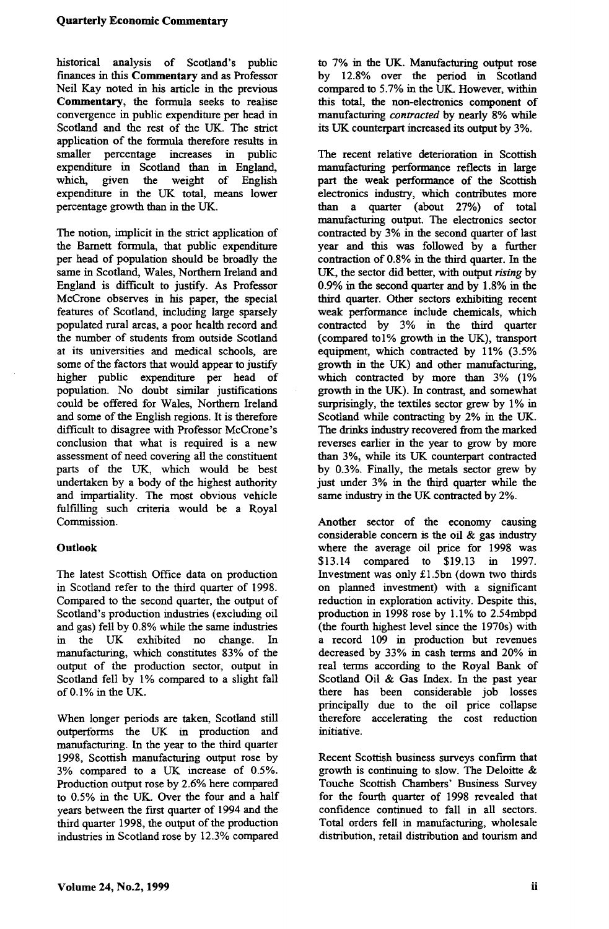historical analysis of Scotland's public finances in this **Commentary** and as Professor Neil Kay noted in his article in the previous **Commentary,** the formula seeks to realise convergence in public expenditure per head in Scotland and the rest of the UK. The strict application of the formula therefore results in smaller percentage increases in public expenditure in Scotland than in England, which, given the weight of English expenditure in the UK total, means lower percentage growth than in the UK.

The notion, implicit in the strict application of the Barnett formula, that public expenditure per head of population should be broadly the same in Scotland, Wales, Northern Ireland and England is difficult to justify. As Professor McCrone observes in his paper, the special features of Scotland, including large sparsely populated rural areas, a poor health record and the number of students from outside Scotland at its universities and medical schools, are some of the factors that would appear to justify higher public expenditure per head of population. No doubt similar justifications could be offered for Wales, Northern Ireland and some of the English regions. It is therefore difficult to disagree with Professor McCrone's conclusion that what is required is a new assessment of need covering all the constituent parts of the UK, which would be best undertaken by a body of the highest authority and impartiality. The most obvious vehicle fulfilling such criteria would be a Royal Commission.

### **Outlook**

The latest Scottish Office data on production in Scotland refer to the third quarter of 1998. Compared to the second quarter, the output of Scotland's production industries (excluding oil and gas) fell by 0.8% while the same industries in the UK exhibited no change. In manufacturing, which constitutes 83% of the output of the production sector, output in Scotland fell by 1% compared to a slight fall of 0.1% in the UK.

When longer periods are taken, Scotland still outperforms the UK in production and manufacturing. In the year to the third quarter 1998, Scottish manufacturing output rose by 3% compared to a UK increase of 0.5%. Production output rose by 2.6% here compared to 0.5% in the UK. Over the four and a half years between the first quarter of 1994 and the third quarter 1998, the output of the production industries in Scotland rose by 12.3% compared to 7% in the UK. Manufacturing output rose by 12.8% over the period in Scotland compared to 5.7% in the UK. However, within this total, the non-electronics component of manufacturing *contracted* by nearly 8% while its UK counterpart increased its output by 3%.

The recent relative deterioration in Scottish manufacturing performance reflects in large part the weak performance of the Scottish electronics industry, which contributes more than a quarter (about 27%) of total manufacturing output. The electronics sector contracted by 3% in the second quarter of last year and this was followed by a further contraction of 0.8% in the third quarter. In the UK, the sector did better, with output *rising* by 0.9% in the second quarter and by 1.8% in the third quarter. Other sectors exhibiting recent weak performance include chemicals, which contracted by 3% in the third quarter (compared tol% growth in the UK), transport equipment, which contracted by 11% (3.5% growth in the UK) and other manufacturing, which contracted by more than 3% (1%) growth in the UK). In contrast, and somewhat surprisingly, the textiles sector grew by 1% in Scotland while contracting by 2% in the UK. The drinks industry recovered from the marked reverses earlier in the year to grow by more than 3%, while its UK counterpart contracted by 0.3%. Finally, the metals sector grew by just under 3% in the third quarter while the same industry in the UK contracted by 2%.

Another sector of the economy causing considerable concern is the oil  $\&$  gas industry where the average oil price for 1998 was \$13.14 compared to \$19.13 in 1997. Investment was only £1.5bn (down two thirds on planned investment) with a significant reduction in exploration activity. Despite this, production in 1998 rose by 1.1% to 2.54mbpd (the fourth highest level since the 1970s) with a record 109 in production but revenues decreased by 33% in cash terms and 20% in real terms according to the Royal Bank of Scotland Oil & Gas Index. In the past year there has been considerable job losses principally due to the oil price collapse therefore accelerating the cost reduction initiative.

Recent Scottish business surveys confirm that growth is continuing to slow. The Deloitte & Touche Scottish Chambers' Business Survey for the fourth quarter of 1998 revealed that confidence continued to fall in all sectors. Total orders fell in manufacturing, wholesale distribution, retail distribution and tourism and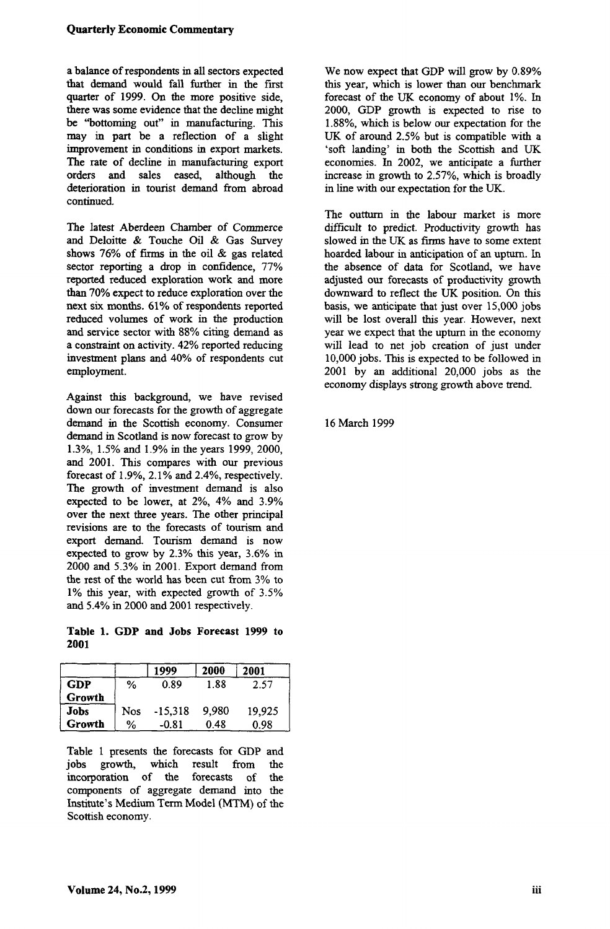a balance of respondents in all sectors expected that demand would fall further in the first quarter of 1999. On the more positive side, there was some evidence that the decline might be "bottoming out" in manufacturing. This may in part be a reflection of a slight improvement in conditions in export markets. The rate of decline in manufacturing export orders and sales eased, although the deterioration in tourist demand from abroad continued.

The latest Aberdeen Chamber of Commerce and Deloitte & Touche Oil & Gas Survey shows 76% of firms in the oil & gas related sector reporting a drop in confidence, 77% reported reduced exploration work and more than 70% expect to reduce exploration over the next six months. 61% of respondents reported reduced volumes of work in the production and service sector with 88% citing demand as a constraint on activity. 42% reported reducing investment plans and 40% of respondents cut employment.

Against this background, we have revised down our forecasts for the growth of aggregate demand in the Scottish economy. Consumer demand in Scotland is now forecast to grow by 1.3%, 1.5% and 1.9% in the years 1999, 2000, and 2001. This compares with our previous forecast of 1.9%, 2.1% and 2.4%, respectively. The growth of investment demand is also expected to be lower, at 2%, 4% and 3.9% over the next three years. The other principal revisions are to the forecasts of tourism and export demand. Tourism demand is now expected to grow by 2.3% this year, 3.6% in 2000 and 5.3% in 2001. Export demand from the rest of the world has been cut from 3% to 1% this year, with expected growth of 3.5% and 5.4% in 2000 and 2001 respectively.

**Table 1. GDP and Jobs Forecast 1999** to **2001** 

|             |            | 1999      | 2000  | 2001   |
|-------------|------------|-----------|-------|--------|
| <b>GDP</b>  | %          | 0.89      | 1.88  | 2.57   |
| Growth      |            |           |       |        |
| <b>Jobs</b> | <b>Nos</b> | $-15,318$ | 9.980 | 19.925 |
| Growth      | ℅          | $-0.81$   | 0.48  | 0.98   |

Table 1 presents the forecasts for GDP and<br>jobs growth, which result from the which result incorporation of the forecasts of the components of aggregate demand into the Institute's Medium Term Model (MTM) of the Scottish economy.

We now expect that GDP will grow by 0.89% this year, which is lower than our benchmark forecast of the UK economy of about 1%. In 2000, GDP growth is expected to rise to 1.88%, which is below our expectation for the UK of around 2.5% but is compatible with a 'soft landing' in both the Scottish and UK economies. In 2002, we anticipate a further increase in growth to 2.57%, which is broadly in line with our expectation for the UK.

The outturn in the labour market is more difficult to predict. Productivity growth has slowed in the UK as firms have to some extent hoarded labour in anticipation of an upturn. In the absence of data for Scotland, we have adjusted our forecasts of productivity growth downward to reflect the UK position. On this basis, we anticipate that just over 15,000 jobs will be lost overall this year. However, next year we expect that the upturn in the economy will lead to net job creation of just under 10,000 jobs. This is expected to be followed in 2001 by an additional 20,000 jobs as the economy displays strong growth above trend.

16 March 1999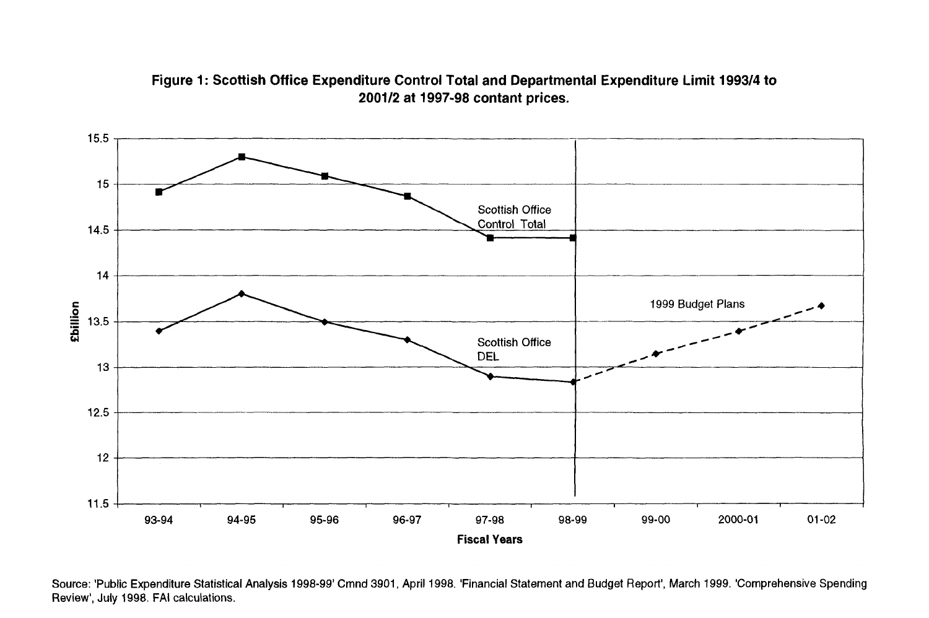### **Figure 1: Scottish Office Expenditure Control Total and Departmental Expenditure Limit 1993/4 to 2001/2 at 1997-98 contant prices.**



Source: 'Public Expenditure Statistical Analysis 1998-99' Cmnd 3901, April 1998. 'Financial Statement and Budget Report', March 1999. 'Comprehensive Spending Review', July 1998. FAI calculations.